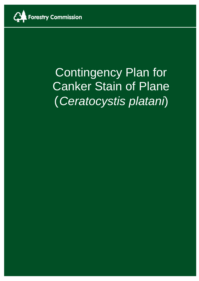

# **Contingency Plan for** Canker Stain of Plane (*Ceratocystis platani*)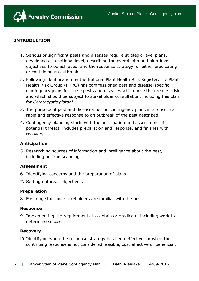

#### **INTRODUCTION**

- 1. Serious or significant pests and diseases require strategic-level plans, developed at a national level, describing the overall aim and high-level objectives to be achieved, and the response strategy for either eradicating or containing an outbreak.
- 2. Following identification by the National Plant Health Risk Register, the Plant Health Risk Group (PHRG) has commissioned pest and disease-specific contingency plans for those pests and diseases which pose the greatest risk and which should be subject to stakeholder consultation, including this plan for *Ceratocystis platani.*
- 3. The purpose of pest and disease-specific contingency plans is to ensure a rapid and effective response to an outbreak of the pest described.
- 4. Contingency planning starts with the anticipation and assessment of potential threats, includes preparation and response, and finishes with recovery.

#### **Anticipation**

5. Researching sources of information and intelligence about the pest, including horizon scanning.

#### **Assessment**

- 6. Identifying concerns and the preparation of plans.
- 7. Setting outbreak objectives.

#### **Preparation**

8. Ensuring staff and stakeholders are familiar with the pest.

#### **Response**

9. Implementing the requirements to contain or eradicate, including work to determine success.

#### **Recovery**

10. Identifying when the response strategy has been effective, or when the continuing response is not considered feasible, cost effective or beneficial.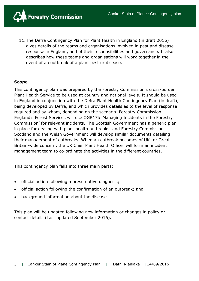

11.The Defra Contingency Plan for Plant Health in England (in draft 2016) gives details of the teams and organisations involved in pest and disease response in England, and of their responsibilities and governance. It also describes how these teams and organisations will work together in the event of an outbreak of a plant pest or disease.

#### **Scope**

This contingency plan was prepared by the Forestry Commission's cross-border Plant Health Service to be used at country and national levels. It should be used in England in conjunction with the Defra Plant Health Contingency Plan (in draft), being developed by Defra, and which provides details as to the level of response required and by whom, depending on the scenario. Forestry Commission England's Forest Services will use OGB17b 'Managing Incidents in the Forestry Commission' for relevant incidents. The Scottish Government has a generic plan in place for dealing with plant health outbreaks, and Forestry Commission Scotland and the Welsh Government will develop similar documents detailing their management of outbreaks. When an outbreak becomes of UK- or Great Britain-wide concern, the UK Chief Plant Health Officer will form an incident management team to co-ordinate the activities in the different countries.

This contingency plan falls into three main parts:

- official action following a presumptive diagnosis;
- official action following the confirmation of an outbreak; and
- background information about the disease.

This plan will be updated following new information or changes in policy or contact details (Last updated September 2016).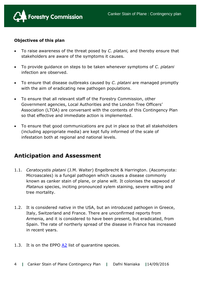

#### **Objectives of this plan**

- To raise awareness of the threat posed by *C. platani,* and thereby ensure that stakeholders are aware of the symptoms it causes.
- To provide guidance on steps to be taken whenever symptoms of *C. platani* infection are observed.
- To ensure that disease outbreaks caused by *C. platani* are managed promptly with the aim of eradicating new pathogen populations.
- To ensure that all relevant staff of the Forestry Commission, other Government agencies, Local Authorities and the London Tree Officers' Association (LTOA) are conversant with the contents of this Contingency Plan so that effective and immediate action is implemented.
- To ensure that good communications are put in place so that all stakeholders (including appropriate media) are kept fully informed of the scale of infestation both at regional and national levels.

## **Anticipation and Assessment**

- 1.1. *Ceratocystis platani* (J.M. Walter) Engelbrecht & Harrington. (Ascomycota: Microascales) is a fungal pathogen which causes a disease commonly known as canker stain of plane, or plane wilt. It colonises the sapwood of *Platanus* species, inciting pronounced xylem staining, severe wilting and tree mortality.
- 1.2. It is considered native in the USA, but an introduced pathogen in Greece, Italy, Switzerland and France. There are unconfirmed reports from Armenia, and it is considered to have been present, but eradicated, from Spain. The rate of northerly spread of the disease in France has increased in recent years.
- 1.3. It is on the EPPO [A2](http://www.eppo.int/QUARANTINE/listA2.htm) list of quarantine species.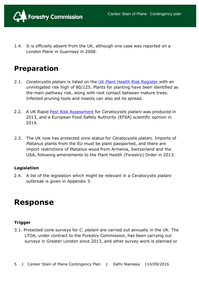

1.4. It is officially absent from the UK, although one case was reported on a London Plane in Guernsey in 2008.

# **Preparation**

- 2.1. *Ceratocystis platani* is listed on the [UK Plant Health Risk Register](https://secure.fera.defra.gov.uk/phiw/riskRegister/) with an unmitigated risk high of 80/125. Plants for planting have been identified as the main pathway risk, along with root contact between mature trees. Infected pruning tools and insects can also aid its spread.
- 2.2. A UK Rapid [Pest Risk Assessment](https://secure.fera.defra.gov.uk/phiw/riskRegister/viewPestRisks.cfm?cslref=22882) for *Ceratocystis platani* was produced in 2013, and a European Food Safety Authority (EFSA) scientific opinion in 2014.
- 2.3. The UK now has protected zone status for *Ceratocystis platani.* Imports of *Platanus* plants from the EU must be plant passported, and there are import restrictions of *Platanus* wood from Armenia, Switzerland and the USA, following amendments to the Plant Health (Forestry) Order in 2013.

#### **Legislation**

2.4. A list of the legislation which might be relevant in a *Ceratocystis platani*  outbreak is given in Appendix 3.

# **Response**

#### **Trigger**

3.1. Protected-zone surveys for *C. platani* are carried out annually in the UK. The LTOA, under contract to the Forestry Commission, has been carrying out surveys in Greater London since 2013, and other survey work is planned or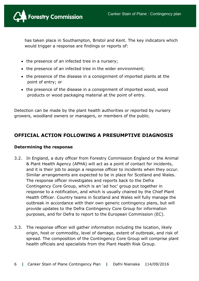

has taken place in Southampton, Bristol and Kent. The key indicators which would trigger a response are findings or reports of:

- the presence of an infected tree in a nursery;
- the presence of an infected tree in the wider environment;
- the presence of the disease in a consignment of imported plants at the point of entry; or
- the presence of the disease in a consignment of imported wood, wood products or wood packaging material at the point of entry.

Detection can be made by the plant health authorities or reported by nursery growers, woodland owners or managers, or members of the public.

### **OFFICIAL ACTION FOLLOWING A PRESUMPTIVE DIAGNOSIS**

#### **Determining the response**

- 3.2. In England, a duty officer from Forestry Commission England or the Animal & Plant Health Agency (APHA) will act as a point of contact for incidents, and it is their job to assign a response officer to incidents when they occur. Similar arrangements are expected to be in place for Scotland and Wales. The response officer investigates and reports back to the Defra Contingency Core Group, which is an 'ad hoc' group put together in response to a notification, and which is usually chaired by the Chief Plant Health Officer. Country teams in Scotland and Wales will fully manage the outbreak in accordance with their own generic contingency plans, but will provide updates to the Defra Contingency Core Group for information purposes, and for Defra to report to the European Commission (EC).
- 3.3. The response officer will gather information including the location, likely origin, host or commodity, level of damage, extent of outbreak, and risk of spread. The composition of the Contingency Core Group will comprise plant health officials and specialists from the Plant Health Risk Group.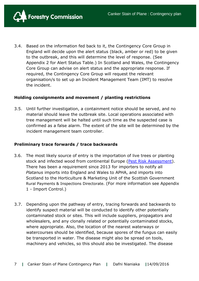

3.4. Based on the information fed back to it, the Contingency Core Group in England will decide upon the alert status (black, amber or red) to be given to the outbreak, and this will determine the level of response. (See Appendix 2 for Alert Status Table.) In Scotland and Wales, the Contingency Core Group can advise on alert status and the appropriate response. If required, the Contingency Core Group will request the relevant organisation/s to set up an Incident Management Team (IMT) to resolve the incident.

#### **Holding consignments and movement / planting restrictions**

3.5. Until further investigation, a containment notice should be served, and no material should leave the outbreak site. Local operations associated with tree management will be halted until such time as the suspected case is confirmed as a false alarm. The extent of the site will be determined by the incident management team controller.

#### **Preliminary trace forwards / trace backwards**

- 3.6. The most likely source of entry is the importation of live trees or planting stock and infected wood from continental Europe [\(Pest Risk Assessment\)](https://secure.fera.defra.gov.uk/phiw/riskRegister/viewPestRisks.cfm?cslref=12294). There has been a requirement since 2013 for importers to notify all *Platanus* imports into England and Wales to APHA, and imports into Scotland to the Horticulture & Marketing Unit of the Scottish Government Rural Payments & Inspections Directorate. (For more information see Appendix 1 - Import Control.)
- 3.7. Depending upon the pathway of entry, tracing forwards and backwards to identify suspect material will be conducted to identify other potentially contaminated stock or sites. This will include suppliers, propagators and wholesalers, and any clonally related or potentially contaminated stocks, where appropriate. Also, the location of the nearest waterways or watercourses should be identified, because spores of the fungus can easily be transported in water. The disease might also be spread on tools, machinery and vehicles, so this should also be investigated. The disease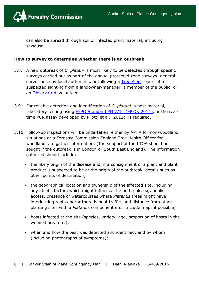

can also be spread through soil or infected plant material, including sawdust.

#### **How to survey to determine whether there is an outbreak**

- 3.8. A new outbreak of *C. platani* is most likely to be detected through specific surveys carried out as part of the annual protected zone surveys, general surveillance by local authorities, or following a [Tree](http://treealert.forestry.gov.uk/) Alert report of a suspected sighting from a landowner/manager, a member of the public, or an [Observatree](http://www.observatree.org.uk/portal/plane-wilt/) volunteer.
- 3.9. For reliable detection and identification of *C. platani* in host material, laboratory testing using **EPPO Standard PM 7/14 (EPPO, 2014)**, or the realtime PCR assay developed by Pilotti et al. (2012), is required.
- 3.10. Follow-up inspections will be undertaken, either by APHA for non-woodland situations or a Forestry Commission England Tree Health Officer for woodlands, to gather information. (The support of the LTOA should be sought if the outbreak is in London or South East England). The information gathered should include:
	- the likely origin of the disease and, if a consignment of a plant and plant product is suspected to be at the origin of the outbreak, details such as other points of destination;
	- the geographical location and ownership of the affected site, including any abiotic factors which might influence the outbreak, e.g. public access, presence of watercourses where *Platanus* trees might have interlocking roots and/or there is boat traffic, and distance from other planting sites with a *Platanus* component etc. Include maps if possible;
	- hosts infected at the site (species, variety, age, proportion of hosts in the wooded area etc.);
	- when and how the pest was detected and identified, and by whom (including photographs of symptoms);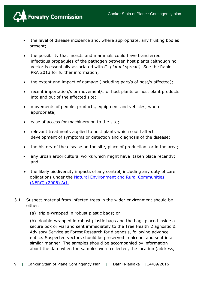

- the level of disease incidence and, where appropriate, any fruiting bodies present;
- the possibility that insects and mammals could have transferred infectious propagules of the pathogen between host plants (although no vector is essentially associated with *C. platani* spread*)*. See the Rapid PRA 2013 for further information;
- the extent and impact of damage (including part/s of host/s affected);
- recent importation/s or movement/s of host plants or host plant products into and out of the affected site;
- movements of people, products, equipment and vehicles, where appropriate;
- ease of access for machinery on to the site;
- relevant treatments applied to host plants which could affect development of symptoms or detection and diagnosis of the disease;
- the history of the disease on the site, place of production, or in the area;
- any urban arboricultural works which might have taken place recently; and
- the likely biodiversity impacts of any control, including any duty of care obligations under the [Natural Environment and Rural Communities](http://www.legislation.gov.uk/ukpga/2006/16/contents)  [\(NERC\) \(2006\) Act.](http://www.legislation.gov.uk/ukpga/2006/16/contents)
- 3.11. Suspect material from infected trees in the wider environment should be either:
	- (a) triple-wrapped in robust plastic bags; or

(b) double-wrapped in robust plastic bags and the bags placed inside a secure box or vial and sent immediately to the Tree Health Diagnostic & Advisory Service at Forest Research for diagnosis, following advance notice. Suspected vectors should be preserved in alcohol and sent in a similar manner. The samples should be accompanied by information about the date when the samples were collected, the location (address,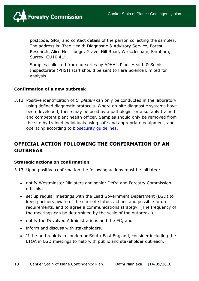

postcode, GPS) and contact details of the person collecting the samples. The address is: Tree Health Diagnostic & Advisory Service, Forest Research, Alice Holt Lodge, Gravel Hill Road, Wrecclesham, Farnham, Surrey, GU10 4LH.

Samples collected from nurseries by APHA's Plant Health & Seeds Inspectorate (PHSI) staff should be sent to Fera Science Limited for analysis.

#### **Confirmation of a new outbreak**

3.12. Positive identification of *C. platani* can only be conducted in the laboratory using defined diagnostic protocols. Where on-site diagnostic systems have been developed, these may be used by a pathologist or a suitably trained and competent plant health officer. Samples should only be removed from the site by trained individuals using safe and appropriate equipment, and operating according to [biosecurity guidelines.](http://www.forestry.gov.uk/england-keepitclean)

### **OFFICIAL ACTION FOLLOWING THE CONFIRMATION OF AN OUTBREAK**

#### **Strategic actions on confirmation**

3.13. Upon positive confirmation the following actions must be initiated:

- notify Westminster Ministers and senior Defra and Forestry Commission officials;
- set up regular meetings with the Lead Government Department (LGD) to keep partners aware of the current status, actions and possible future requirements, and to agree a communications strategy. (The frequency of the meetings can be determined by the scale of the outbreak.);
- notify the Devolved Administrations and the EC; and
- inform and discuss with stakeholders.
- If the outbreak is in London or South-East England, consider including the LTOA in LGD meetings to help with public and stakeholder outreach.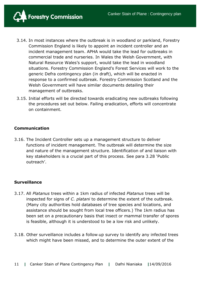

- 3.14. In most instances where the outbreak is in woodland or parkland, Forestry Commission England is likely to appoint an incident controller and an incident management team. APHA would take the lead for outbreaks in commercial trade and nurseries. In Wales the Welsh Government, with Natural Resource Wales's support, would take the lead in woodland situations. Forestry Commission England's Forest Services will work to the generic Defra contingency plan (in draft), which will be enacted in response to a confirmed outbreak. Forestry Commission Scotland and the Welsh Government will have similar documents detailing their management of outbreaks.
- 3.15. Initial efforts will be directed towards eradicating new outbreaks following the procedures set out below. Failing eradication, efforts will concentrate on containment.

#### **Communication**

3.16. The Incident Controller sets up a management structure to deliver functions of incident management. The outbreak will determine the size and nature of the management structure. Identification of and liaison with key stakeholders is a crucial part of this process. See para 3.28 'Public outreach'.

#### **Surveillance**

- 3.17. All *Platanus* trees within a 1km radius of infected *Platanus* trees will be inspected for signs of *C. platani* to determine the extent of the outbreak*.* (Many city authorities hold databases of tree species and locations, and assistance should be sought from local tree officers.) The 1km radius has been set on a precautionary basis that insect or mammal transfer of spores is feasible, although it is understood to be a low risk and unlikely.
- 3.18. Other surveillance includes a follow-up survey to identify any infected trees which might have been missed, and to determine the outer extent of the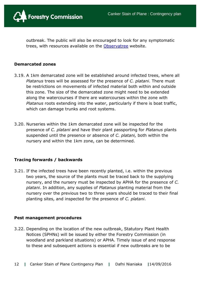

outbreak. The public will also be encouraged to look for any symptomatic trees, with resources available on the [Observatree](http://www.observatree.org.uk/portal/plane-wilt/) website.

#### **Demarcated zones**

- 3.19. A 1km demarcated zone will be established around infected trees, where all *Platanus* trees will be assessed for the presence of *C. platani*. There must be restrictions on movements of infected material both within and outside this zone. The size of the demarcated zone might need to be extended along the watercourses if there are watercourses within the zone with *Platanus* roots extending into the water, particularly if there is boat traffic, which can damage trunks and root systems.
- 3.20. Nurseries within the 1km demarcated zone will be inspected for the presence of *C. platani* and have their plant passporting for *Platanus* plants suspended until the presence or absence of *C. platani,* both within the nursery and within the 1km zone, can be determined.

#### **Tracing forwards / backwards**

3.21. If the infected trees have been recently planted, i.e. within the previous two years, the source of the plants must be traced back to the supplying nursery, and the nursery must be inspected by APHA for the presence of *C. platani*. In addition, any supplies of *Platanus* planting material from the nursery over the previous two to three years should be traced to their final planting sites, and inspected for the presence of *C. platani*.

#### **Pest management procedures**

3.22. Depending on the location of the new outbreak, Statutory Plant Health Notices (SPHNs) will be issued by either the Forestry Commission (in woodland and parkland situations) or APHA. Timely issue of and response to these and subsequent actions is essential if new outbreaks are to be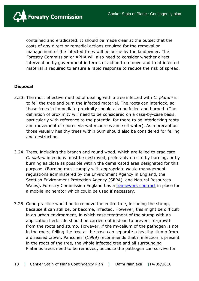

contained and eradicated. It should be made clear at the outset that the costs of any direct or remedial actions required for the removal or management of the infected trees will be borne by the landowner. The Forestry Commission or APHA will also need to consider whether direct intervention by government in terms of action to remove and treat infected material is required to ensure a rapid response to reduce the risk of spread.

#### **Disposal**

- 3.23. The most effective method of dealing with a tree infected with *C. platani* is to fell the tree and burn the infected material. The roots can interlock, so those trees in immediate proximity should also be felled and burned. (The definition of proximity will need to be considered on a case-by-case basis, particularly with reference to the potential for there to be interlocking roots and movement of spores via watercourses and soil water). As a precaution those visually healthy trees within 50m should also be considered for felling and destruction.
- 3.24. Trees, including the branch and round wood, which are felled to eradicate *C. platani* infections must be destroyed, preferably on site by burning, or by burning as close as possible within the demarcated area designated for this purpose. (Burning must comply with appropriate waste management regulations administered by the Environment Agency in England, the Scottish Environment Protection Agency (SEPA), and Natural Resources Wales). Forestry Commission England has a [framework contract](https://www.contractsfinder.service.gov.uk/Notice/7ec376eb-6a9e-4119-827f-3af3017a5de1) in place for a mobile incinerator which could be used if necessary.
- 3.25. Good practice would be to remove the entire tree, including the stump, because it can still be, or become, infected. However, this might be difficult in an urban environment, in which case treatment of the stump with an application herbicide should be carried out instead to prevent re-growth from the roots and stump. However, if the mycelium of the pathogen is not in the roots, felling the tree at the base can separate a healthy stump from a diseased crown. Panconesi (1999) recommends that if infection is present in the roots of the tree, the whole infected tree and all surrounding Platanus trees need to be removed, because the pathogen can survive for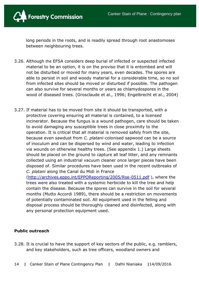

long periods in the roots, and is readily spread through root anastomoses between neighbouring trees.

- 3.26. Although the EFSA considers deep burial of infected or suspected infected material to be an option, it is on the proviso that it is entombed and will not be disturbed or moved for many years, even decades. The spores are able to persist in soil and woody material for a considerable time, so no soil from infected sites should be moved or disturbed if possible. The pathogen can also survive for several months or years as chlamydospores in the wood of diseased trees. (Grosclaude et al., 1996; Engelbrecht et al., 2004)
- 3.27. If material has to be moved from site it should be transported, with a protective covering ensuring all material is contained, to a licensed incinerator. Because the fungus is a wound pathogen, care should be taken to avoid damaging any susceptible trees in close proximity to the operation. It is critical that all material is removed safely from the site, because even sawdust from *C. platani*-colonised sapwood can be a source of inoculum and can be dispersed by wind and water, leading to infection via wounds on otherwise healthy trees. (See appendix 1.) Large sheets should be placed on the ground to capture all leaf litter, and any remnants collected using an industrial vacuum cleaner once larger pieces have been disposed of. Similar procedures have been used in the recent outbreaks of *C. platani* along the Canal du Midi in France

[\(http://archives.eppo.int/EPPOReporting/2005/Rse-0511.pdf](http://archives.eppo.int/EPPOReporting/2005/Rse-0511.pdf) ), where the trees were also treated with a systemic herbicide to kill the tree and help contain the disease. Because the spores can survive in the soil for several months (Mutto Accordi 1989), there should be a restriction on movements of potentially contaminated soil. All equipment used in the felling and disposal process should be thoroughly cleaned and disinfected, along with any personal protection equipment used.

#### **Public outreach**

3.28. It is crucial to have the support of key sectors of the public, e.g. ramblers, and key stakeholders, such as tree officers, woodland owners and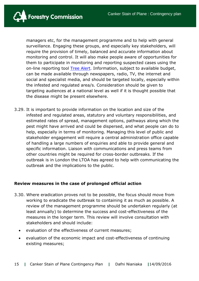

managers etc, for the management programme and to help with general surveillance. Engaging these groups, and especially key stakeholders, will require the provision of timely, balanced and accurate information about monitoring and control. It will also make people aware of opportunities for them to participate in monitoring and reporting suspected cases using the on-line reporting tool **Tree Alert**. Information, subject to available budget, can be made available through newspapers, radio, TV, the internet and social and specialist media, and should be targeted locally, especially within the infested and regulated area/s. Consideration should be given to targeting audiences at a national level as well if it is thought possible that the disease might be present elsewhere.

3.29. It is important to provide information on the location and size of the infested and regulated areas, statutory and voluntary responsibilities, and estimated rates of spread, management options, pathways along which the pest might have arrived and could be dispersed, and what people can do to help, especially in terms of monitoring. Managing this level of public and stakeholder engagement will require a central administration office capable of handling a large numbers of enquiries and able to provide general and specific information. Liaison with communications and press teams from other countries might be required for cross-border outbreaks. If the outbreak is in London the LTOA has agreed to help with communicating the outbreak and the implications to the public.

#### **Review measures in the case of prolonged official action**

- 3.30. Where eradication proves not to be possible, the focus should move from working to eradicate the outbreak to containing it as much as possible. A review of the management programme should be undertaken regularly (at least annually) to determine the success and cost-effectiveness of the measures in the longer term. This review will involve consultation with stakeholders and should include:
	- evaluation of the effectiveness of current measures;
	- evaluation of the economic impact and cost-effectiveness of continuing existing measures;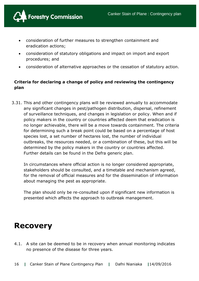

- consideration of further measures to strengthen containment and eradication actions;
- consideration of statutory obligations and impact on import and export procedures; and
- consideration of alternative approaches or the cessation of statutory action.

#### **Criteria for declaring a change of policy and reviewing the contingency plan**

3.31. This and other contingency plans will be reviewed annually to accommodate any significant changes in pest/pathogen distribution, dispersal, refinement of surveillance techniques, and changes in legislation or policy. When and if policy makers in the country or countries affected deem that eradication is no longer achievable, there will be a move towards containment. The criteria for determining such a break point could be based on a percentage of host species lost, a set number of hectares lost, the number of individual outbreaks, the resources needed, or a combination of these, but this will be determined by the policy makers in the country or countries affected. Further details can be found in the Defra generic plan.

In circumstances where official action is no longer considered appropriate, stakeholders should be consulted, and a timetable and mechanism agreed, for the removal of official measures and for the dissemination of information about managing the pest as appropriate.

The plan should only be re-consulted upon if significant new information is presented which affects the approach to outbreak management.

# **Recovery**

4.1. A site can be deemed to be in recovery when annual monitoring indicates no presence of the disease for three years.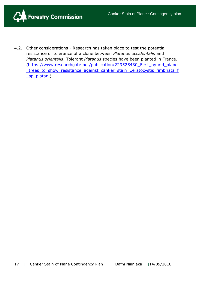

4.2. Other considerations - Research has taken place to test the potential resistance or tolerance of a clone between *Platanus occidentalis* and *Platanus orientalis*. Tolerant *Platanus* species have been planted in France. (https://www.researchgate.net/publication/229525430 First\_hybrid\_plane [\\_trees\\_to\\_show\\_resistance\\_against\\_canker\\_stain\\_Ceratocystis\\_fimbriata\\_f](https://www.researchgate.net/publication/229525430_First_hybrid_plane_trees_to_show_resistance_against_canker_stain_Ceratocystis_fimbriata_f_sp_platani) [\\_sp\\_platani\)](https://www.researchgate.net/publication/229525430_First_hybrid_plane_trees_to_show_resistance_against_canker_stain_Ceratocystis_fimbriata_f_sp_platani)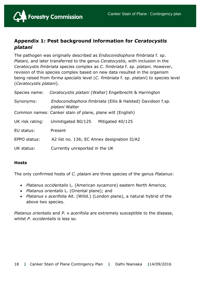

### **Appendix 1: Pest background information for** *Ceratocystis platani*

The pathogen was originally described as *Endoconidiophora fimbriata* f. sp. *Platani,* and later transferred to the genus *Ceratocystis,* with inclusion in the *Ceratocystis fimbriata* species complex as *C. fimbriata* f. sp. *platani*. However, revision of this species complex based on new data resulted in the organism being raised from *forma specialis* level (*C. fimbriata* f. sp. *platani*) to species level (*Ceratocystis platani*)*.*

| Species name:   | Ceratocystis platani (Walter) Engelbrecht & Harrington                               |  |  |
|-----------------|--------------------------------------------------------------------------------------|--|--|
| Synonyms:       | Endoconidiophora fimbriata (Ellis & Halsted) Davidson f.sp.<br><i>platani</i> Walter |  |  |
|                 | Common names: Canker stain of plane, plane wilt (English)                            |  |  |
| UK risk rating: | Unmitigated 80/125<br>Mitigated 40/125                                               |  |  |
| EU status:      | Present                                                                              |  |  |
| EPPO status:    | A2 list no. 136; EC Annex designation II/A2                                          |  |  |
| UK status:      | Currently unreported in the UK                                                       |  |  |

#### **Hosts**

The only confirmed hosts of *C. platani* are three species of the genus *Platanus*:

- *Platanus occidentalis* L. (American sycamore) eastern North America;
- *Platanus orientalis* L. (Oriental plane); and
- *Platanus* x *acerifolia* Ait. (Willd.) (London plane), a natural hybrid of the above two species.

*Platanus orientalis* and *P.* x *acerifolia* are extremely susceptible to the disease, whilst *P. occidentalis* is less so.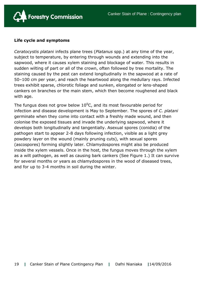

#### **Life cycle and symptoms**

*Ceratocystis platani* infects plane trees (*Platanus* spp.) at any time of the year, subject to temperature, by entering through wounds and extending into the sapwood, where it causes xylem staining and blockage of water. This results in sudden wilting of part or all of the crown, often followed by tree mortality. The staining caused by the pest can extend longitudinally in the sapwood at a rate of 50–100 cm per year, and reach the heartwood along the medullary rays. Infected trees exhibit sparse, chlorotic foliage and sunken, elongated or lens-shaped cankers on branches or the main stem, which then become roughened and black with age.

The fungus does not grow below  $10^0$ C, and its most favourable period for infection and disease development is May to September. The spores of *C. platani* germinate when they come into contact with a freshly made wound, and then colonise the exposed tissues and invade the underlying sapwood, where it develops both longitudinally and tangentially. Asexual spores (conidia) of the pathogen start to appear 2-8 days following infection, visible as a light grey powdery layer on the wound (mainly pruning cuts), with sexual spores (ascospores) forming slightly later. Chlamydospores might also be produced inside the xylem vessels. Once in the host, the fungus moves through the xylem as a wilt pathogen, as well as causing bark cankers (See Figure 1.) It can survive for several months or years as chlamydospores in the wood of diseased trees, and for up to 3-4 months in soil during the winter.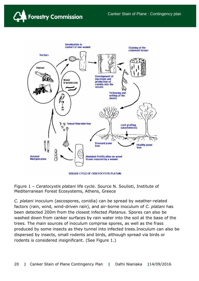



Figure 1 – *Ceratocystis platani* life cycle. Source N. Soulioti, Institute of Mediterranean Forest Ecosystems, Athens, Greece

*C. platani* inoculum (ascospores, conidia) can be spread by weather-related factors (rain, wind, wind-driven rain), and air-borne inoculum of *C. platani* has been detected 200m from the closest infected *Platanus*. Spores can also be washed down from canker surfaces by rain water into the soil at the base of the trees. The main sources of inoculum comprise spores, as well as the frass produced by some insects as they tunnel into infected trees.Inoculum can also be dispersed by insects, small rodents and birds, although spread via birds or rodents is considered insignificant. (See Figure 1.)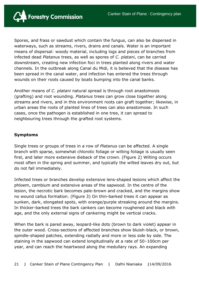

Spores, and frass or sawdust which contain the fungus, can also be dispersed in waterways, such as streams, rivers, drains and canals. Water is an important means of dispersal: woody material, including logs and pieces of branches from infected dead *Platanus* trees, as well as spores of *C. platani*, can be carried downstream, creating new infection foci in trees planted along rivers and water channels. In the outbreak along Canal du Midi, it is believed that the disease has been spread in the canal water, and infection has entered the trees through wounds on their roots caused by boats bumping into the canal banks.

Another means of *C. platani* natural spread is through root anastomosis (grafting) and root wounding. *Platanus* trees can grow close together along streams and rivers, and in this environment roots can graft together; likewise, in urban areas the roots of planted lines of trees can also anastomose. In such cases, once the pathogen is established in one tree, it can spread to neighbouring trees through the grafted root systems.

#### **Symptoms**

Single trees or groups of trees in a row of *Platanus* can be affected. A single branch with sparse, somewhat chlorotic foliage or wilting foliage is usually seen first, and later more extensive dieback of the crown. (Figure 2) Wilting occurs most often in the spring and summer, and typically the wilted leaves dry out, but do not fall immediately.

Infected trees or branches develop extensive lens-shaped lesions which affect the phloem, cambium and extensive areas of the sapwood. In the centre of the lesion, the necrotic bark becomes pale-brown and cracked, and the margins show no wound callus formation. (Figure 3) On thin-barked trees it can appear as sunken, dark, elongated spots, with orange/purple streaking around the margins. In thicker-barked trees the bark cankers can become roughened and black with age, and the only external signs of cankering might be vertical cracks.

When the bark is pared away, leopard-like dots (brown to dark violet) appear in the outer wood. Cross-sections of affected branches show bluish-black, or brown, spindle-shaped patches, extending radially and more or less side by side. The staining in the sapwood can extend longitudinally at a rate of 50–100cm per year, and can reach the heartwood along the medullary rays. An expanding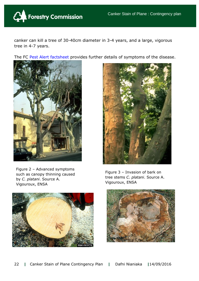

canker can kill a tree of 30-40cm diameter in 3-4 years, and a large, vigorous tree in 4-7 years.

The FC [Pest Alert factsheet](http://www.forestry.gov.uk/pdf/FCPH-PW.pdf/$FILE/FCPH-PW.pdf) provides further details of symptoms of the disease.





Figure 2 – Advanced symptoms such as canopy thinning caused by *C. platani*. Source A. Vigouroux, ENSA

Figure 3 – Invasion of bark on tree stems *C. platani*. Source A. Vigouroux, ENSA



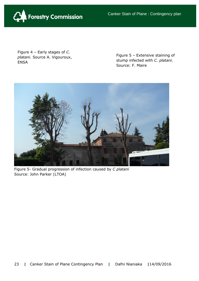

Figure 4 – Early stages of *C. platani*. Source A. Vigouroux, ENSA

Figure 5 – Extensive staining of stump infected with *C. platani*. Source: F. Maire



Figure 5- Gradual progression of infection caused by *C platani* Source: John Parker (LTOA)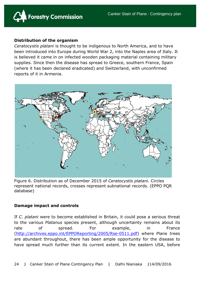

#### **Distribution of the organism**

*Ceratocystis platani* is thought to be indigenous to North America, and to have been introduced into Europe during World War 2, into the Naples area of Italy. It is believed it came in on infected wooden packaging material containing military supplies. Since then the disease has spread to Greece, southern France, Spain (where it has been declared eradicated) and Switzerland, with unconfirmed reports of it in Armenia.



Figure 6. Distribution as of December 2015 of *Ceratocystis platani.* Circles represent national records, crosses represent subnational records. (EPPO PQR database)

#### **Damage impact and controls**

If *C. platani* were to become established in Britain, it could pose a serious threat to the various *Platanus* species present, although uncertainty remains about its rate of spread. For example, in France [\(http://archives.eppo.int/EPPOReporting/2005/Rse-0511.pdf\)](http://archives.eppo.int/EPPOReporting/2005/Rse-0511.pdf) where Plane trees are abundant throughout, there has been ample opportunity for the disease to have spread much further than its current extent. In the eastern USA, before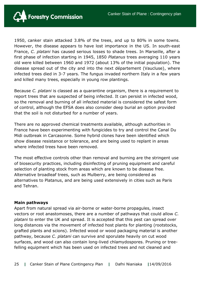

1950, canker stain attacked 3.8% of the trees, and up to 80% in some towns. However, the disease appears to have lost importance in the US. In south-east France, *C. platani* has caused serious losses to shade trees. In Marseille, after a first phase of infection starting in 1945, 1850 *Platanus* trees averaging 110 years old were killed between 1960 and 1972 (about 13% of the initial population). The disease spread out of the city and into the next département (Vaucluse), where infected trees died in 3-7 years. The fungus invaded northern Italy in a few years and killed many trees, especially in young row plantings.

Because *C. platani* is classed as a quarantine organism, there is a requirement to report trees that are suspected of being infected. It can persist in infected wood, so the removal and burning of all infected material is considered the safest form of control, although the EFSA does also consider deep burial an option provided that the soil is not disturbed for a number of years.

There are no approved chemical treatments available, although authorities in France have been experimenting with fungicides to try and control the Canal Du Midi outbreak in Carcasonne. Some hybrid clones have been identified which show disease resistance or tolerance, and are being used to replant in areas where infected trees have been removed.

The most effective controls other than removal and burning are the stringent use of biosecurity practices, including disinfecting of pruning equipment and careful selection of planting stock from areas which are known to be disease free. Alternative broadleaf trees, such as Mulberry, are being considered as alternatives to Platanus, and are being used extensively in cities such as Paris and Tehran.

#### **Main pathways**

Apart from natural spread via air-borne or water-borne propagules, insect vectors or root anastomoses, there are a number of pathways that could allow *C. platani* to enter the UK and spread. It is accepted that this pest can spread over long distances via the movement of infected host plants for planting (rootstocks, grafted plants and scions). Infected wood or wood packaging material is another pathway, because *C. platani* can survive and sporulate heavily on cut wood surfaces, and wood can also contain long-lived chlamydospores. Pruning or treefelling equipment which has been used on infected trees and not cleaned and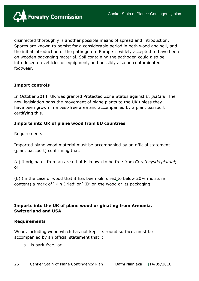

disinfected thoroughly is another possible means of spread and introduction. Spores are known to persist for a considerable period in both wood and soil, and the initial introduction of the pathogen to Europe is widely accepted to have been on wooden packaging material. Soil containing the pathogen could also be introduced on vehicles or equipment, and possibly also on contaminated footwear.

#### **Import controls**

In October 2014, UK was granted Protected Zone Status against *C. platani*. The new legislation bans the movement of plane plants to the UK unless they have been grown in a pest-free area and accompanied by a plant passport certifying this.

#### **Imports into UK of plane wood from EU countries**

Requirements:

Imported plane wood material must be accompanied by an official statement (plant passport) confirming that:

(a) it originates from an area that is known to be free from *Ceratocystis platani*; or

(b) (in the case of wood that it has been kiln dried to below 20% moisture content) a mark of 'Kiln Dried' or 'KD' on the wood or its packaging.

#### **Imports into the UK of plane wood originating from Armenia, Switzerland and USA**

#### **Requirements**

Wood, including wood which has not kept its round surface, must be accompanied by an official statement that it:

a. is bark-free; or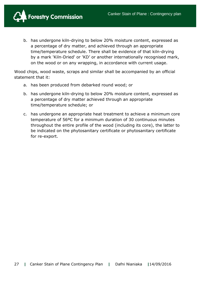

b. has undergone kiln-drying to below 20% moisture content, expressed as a percentage of dry matter, and achieved through an appropriate time/temperature schedule. There shall be evidence of that kiln-drying by a mark 'Kiln-Dried' or 'KD' or another internationally recognised mark, on the wood or on any wrapping, in accordance with current usage.

Wood chips, wood waste, scraps and similar shall be accompanied by an official statement that it:

- a. has been produced from debarked round wood; or
- b. has undergone kiln-drying to below 20% moisture content, expressed as a percentage of dry matter achieved through an appropriate time/temperature schedule; or
- c. has undergone an appropriate heat treatment to achieve a minimum core temperature of 56ºC for a minimum duration of 30 continuous minutes throughout the entire profile of the wood (including its core), the latter to be indicated on the phytosanitary certificate or phytosanitary certificate for re-export.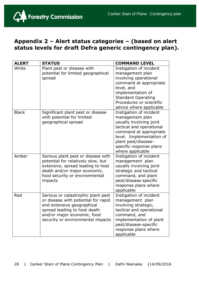

# **Appendix 2 – Alert status categories – (based on alert status levels for draft Defra generic contingency plan).**

| <b>ALERT</b> | <b>STATUS</b>                                                                                                                                                                                               | <b>COMMAND LEVEL</b>                                                                                                                                                                                                          |
|--------------|-------------------------------------------------------------------------------------------------------------------------------------------------------------------------------------------------------------|-------------------------------------------------------------------------------------------------------------------------------------------------------------------------------------------------------------------------------|
| White        | Plant pest or disease with<br>potential for limited geographical<br>spread                                                                                                                                  | Instigation of incident<br>management plan<br>involving operational<br>command at appropriate<br>level, and<br>implementation of<br><b>Standard Operating</b><br>Procedures or scientific<br>advice where applicable          |
| <b>Black</b> | Significant plant pest or disease<br>with potential for limited<br>geographical spread                                                                                                                      | Instigation of incident<br>management plan<br>usually involving joint<br>tactical and operational<br>command at appropriate<br>level. Implementation of<br>plant pest/disease-<br>specific response plans<br>where applicable |
| Amber        | Serious plant pest or disease with<br>potential for relatively slow, but<br>extensive, spread leading to host<br>death and/or major economic,<br>food security or environmental<br>impacts                  | Instigation of incident<br>management plan<br>usually involving joint<br>strategic and tactical<br>command, and plant<br>pest/disease-specific<br>response plans where<br>applicable                                          |
| Red          | Serious or catastrophic plant pest<br>or disease with potential for rapid<br>and extensive geographical<br>spread leading to host death<br>and/or major economic, food<br>security or environmental impacts | Instigation of incident<br>management plan<br>involving strategic,<br>tactical and operational<br>command, and<br>implementation of plant<br>pest/disease-specific<br>response plans where<br>applicable                      |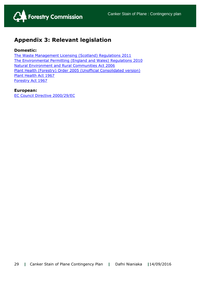

# **Appendix 3: Relevant legislation**

#### **Domestic:**

[The Waste Management Licensing \(Scotland\) Regulations 2011](http://www.legislation.gov.uk/ssi/2011/228/made) [The Environmental Permitting \(England and Wales\) Regulations 2010](http://www.legislation.gov.uk/uksi/2010/675/contents/made) [Natural Environment and Rural Communities Act 2006](http://www.legislation.gov.uk/ukpga/2006/16/contents) [Plant Health \(Forestry\) Order 2005](http://www.forestry.gov.uk/pdf/Final-unofficial-consolidated-PHFO-Nov2014.pdf/$FILE/Final-unofficial-consolidated-PHFO-Nov2014.pdf) (Unofficial Consolidated version) [Plant Health Act 1967](http://www.legislation.gov.uk/ukpga/1967/8/contents) [Forestry Act 1967](http://www.legislation.gov.uk/ukpga/1967/10/contents)

#### **European:**

[EC Council Directive 2000/29/EC](http://eur-lex.europa.eu/legal-content/EN/TXT/?qid=1422034625826&uri=CELEX:02000L0029-20140630)